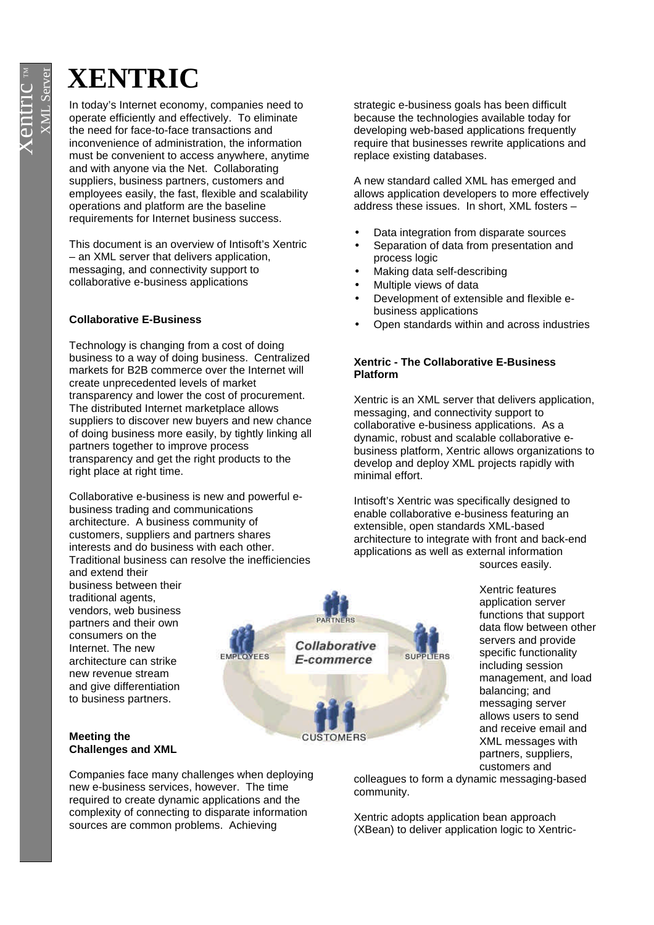# **XENTRIC**

In today's Internet economy, companies need to operate efficiently and effectively. To eliminate the need for face-to-face transactions and inconvenience of administration, the information must be convenient to access anywhere, anytime and with anyone via the Net. Collaborating suppliers, business partners, customers and employees easily, the fast, flexible and scalability operations and platform are the baseline requirements for Internet business success.

This document is an overview of Intisoft's Xentric – an XML server that delivers application, messaging, and connectivity support to collaborative e-business applications

## **Collaborative E-Business**

Technology is changing from a cost of doing business to a way of doing business. Centralized markets for B2B commerce over the Internet will create unprecedented levels of market transparency and lower the cost of procurement. The distributed Internet marketplace allows suppliers to discover new buyers and new chance of doing business more easily, by tightly linking all partners together to improve process transparency and get the right products to the right place at right time.

Collaborative e-business is new and powerful ebusiness trading and communications architecture. A business community of customers, suppliers and partners shares interests and do business with each other. Traditional business can resolve the inefficiencies

and extend their business between their traditional agents, vendors, web business partners and their own consumers on the Internet. The new architecture can strike new revenue stream and give differentiation to business partners.

#### **Meeting the Challenges and XML**

Companies face many challenges when deploying new e-business services, however. The time required to create dynamic applications and the complexity of connecting to disparate information sources are common problems. Achieving

strategic e-business goals has been difficult because the technologies available today for developing web-based applications frequently require that businesses rewrite applications and replace existing databases.

A new standard called XML has emerged and allows application developers to more effectively address these issues. In short, XML fosters –

- Data integration from disparate sources
- Separation of data from presentation and process logic
- Making data self-describing
- Multiple views of data
- Development of extensible and flexible ebusiness applications
- Open standards within and across industries

## **Xentric - The Collaborative E-Business Platform**

Xentric is an XML server that delivers application, messaging, and connectivity support to collaborative e-business applications. As a dynamic, robust and scalable collaborative ebusiness platform, Xentric allows organizations to develop and deploy XML projects rapidly with minimal effort.

Intisoft's Xentric was specifically designed to enable collaborative e-business featuring an extensible, open standards XML-based architecture to integrate with front and back-end applications as well as external information sources easily.

> Xentric features application server functions that support data flow between other servers and provide specific functionality including session management, and load balancing; and messaging server allows users to send and receive email and XML messages with partners, suppliers, customers and

colleagues to form a dynamic messaging-based community.

Xentric adopts application bean approach (XBean) to deliver application logic to Xentric-